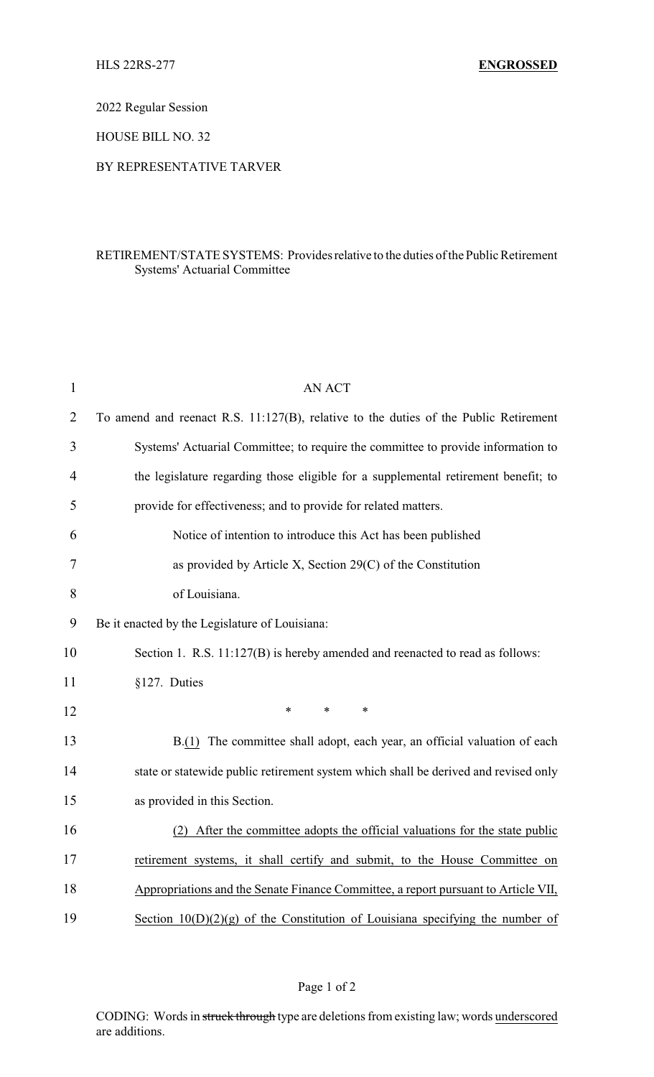2022 Regular Session

HOUSE BILL NO. 32

## BY REPRESENTATIVE TARVER

## RETIREMENT/STATE SYSTEMS: Providesrelative to the duties of the Public Retirement Systems' Actuarial Committee

| $\mathbf{1}$   | <b>AN ACT</b>                                                                        |
|----------------|--------------------------------------------------------------------------------------|
| $\overline{2}$ | To amend and reenact R.S. 11:127(B), relative to the duties of the Public Retirement |
| 3              | Systems' Actuarial Committee; to require the committee to provide information to     |
| 4              | the legislature regarding those eligible for a supplemental retirement benefit; to   |
| 5              | provide for effectiveness; and to provide for related matters.                       |
| 6              | Notice of intention to introduce this Act has been published                         |
| 7              | as provided by Article X, Section 29(C) of the Constitution                          |
| 8              | of Louisiana.                                                                        |
| 9              | Be it enacted by the Legislature of Louisiana:                                       |
| 10             | Section 1. R.S. 11:127(B) is hereby amended and reenacted to read as follows:        |
| 11             | §127. Duties                                                                         |
| 12             | $\ast$<br>$\ast$<br>$\ast$                                                           |
| 13             | B.(1) The committee shall adopt, each year, an official valuation of each            |
| 14             | state or statewide public retirement system which shall be derived and revised only  |
| 15             | as provided in this Section.                                                         |
| 16             | (2) After the committee adopts the official valuations for the state public          |
| 17             | retirement systems, it shall certify and submit, to the House Committee on           |
| 18             | Appropriations and the Senate Finance Committee, a report pursuant to Article VII,   |
| 19             | Section $10(D)(2)(g)$ of the Constitution of Louisiana specifying the number of      |